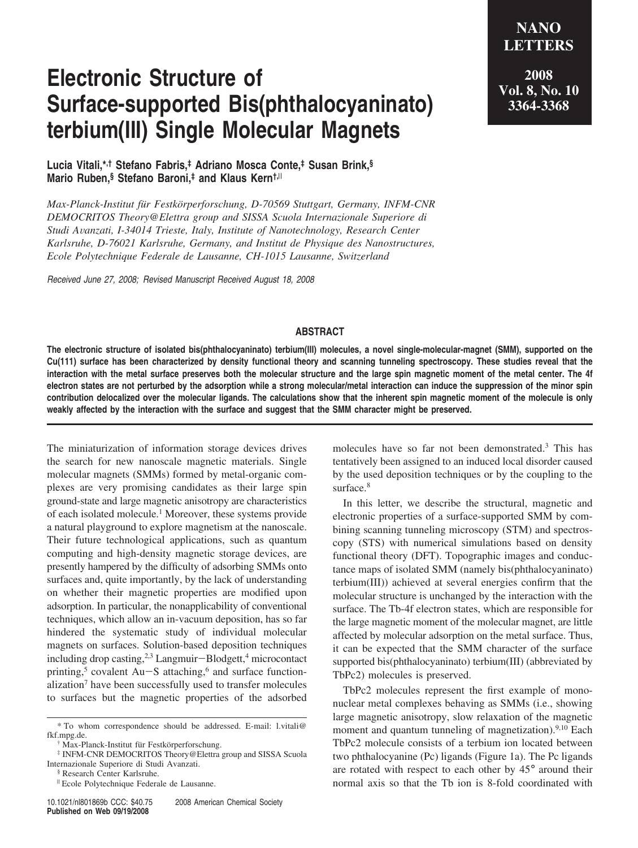## **Electronic Structure of Surface-supported Bis(phthalocyaninato) terbium(III) Single Molecular Magnets**

**LETTERS 2008 Vol. 8, No. 10 3364-3368**

**NANO**

**Lucia Vitali,\*,† Stefano Fabris,‡ Adriano Mosca Conte,‡ Susan Brink,§ Mario Ruben,§ Stefano Baroni,‡ and Klaus Kern†,**<sup>|</sup>

*Max-Planck-Institut fu¨r Festko¨rperforschung, D-70569 Stuttgart, Germany, INFM-CNR DEMOCRITOS Theory@Elettra group and SISSA Scuola Internazionale Superiore di Studi A*V*anzati, I-34014 Trieste, Italy, Institute of Nanotechnology, Research Center Karlsruhe, D-76021 Karlsruhe, Germany, and Institut de Physique des Nanostructures, Ecole Polytechnique Federale de Lausanne, CH-1015 Lausanne, Switzerland*

*Received June 27, 2008; Revised Manuscript Received August 18, 2008*

## **ABSTRACT**

**The electronic structure of isolated bis(phthalocyaninato) terbium(III) molecules, a novel single-molecular-magnet (SMM), supported on the Cu(111) surface has been characterized by density functional theory and scanning tunneling spectroscopy. These studies reveal that the interaction with the metal surface preserves both the molecular structure and the large spin magnetic moment of the metal center. The 4f electron states are not perturbed by the adsorption while a strong molecular/metal interaction can induce the suppression of the minor spin contribution delocalized over the molecular ligands. The calculations show that the inherent spin magnetic moment of the molecule is only weakly affected by the interaction with the surface and suggest that the SMM character might be preserved.**

The miniaturization of information storage devices drives the search for new nanoscale magnetic materials. Single molecular magnets (SMMs) formed by metal-organic complexes are very promising candidates as their large spin ground-state and large magnetic anisotropy are characteristics of each isolated molecule.1 Moreover, these systems provide a natural playground to explore magnetism at the nanoscale. Their future technological applications, such as quantum computing and high-density magnetic storage devices, are presently hampered by the difficulty of adsorbing SMMs onto surfaces and, quite importantly, by the lack of understanding on whether their magnetic properties are modified upon adsorption. In particular, the nonapplicability of conventional techniques, which allow an in-vacuum deposition, has so far hindered the systematic study of individual molecular magnets on surfaces. Solution-based deposition techniques including drop casting,2,3 Langmuir-Blodgett,4 microcontact printing,<sup>5</sup> covalent Au-S attaching,<sup>6</sup> and surface functionalization<sup>7</sup> have been successfully used to transfer molecules to surfaces but the magnetic properties of the adsorbed molecules have so far not been demonstrated.3 This has tentatively been assigned to an induced local disorder caused by the used deposition techniques or by the coupling to the surface.<sup>8</sup>

In this letter, we describe the structural, magnetic and electronic properties of a surface-supported SMM by combining scanning tunneling microscopy (STM) and spectroscopy (STS) with numerical simulations based on density functional theory (DFT). Topographic images and conductance maps of isolated SMM (namely bis(phthalocyaninato) terbium(III)) achieved at several energies confirm that the molecular structure is unchanged by the interaction with the surface. The Tb-4f electron states, which are responsible for the large magnetic moment of the molecular magnet, are little affected by molecular adsorption on the metal surface. Thus, it can be expected that the SMM character of the surface supported bis(phthalocyaninato) terbium(III) (abbreviated by TbPc2) molecules is preserved.

TbPc2 molecules represent the first example of mononuclear metal complexes behaving as SMMs (i.e., showing large magnetic anisotropy, slow relaxation of the magnetic moment and quantum tunneling of magnetization).<sup>9,10</sup> Each TbPc2 molecule consists of a terbium ion located between two phthalocyanine (Pc) ligands (Figure 1a). The Pc ligands are rotated with respect to each other by 45° around their normal axis so that the Tb ion is 8-fold coordinated with

<sup>\*</sup> To whom correspondence should be addressed. E-mail: l.vitali@ fkf.mpg.de.

Max-Planck-Institut für Festkörperforschung.

<sup>‡</sup> INFM-CNR DEMOCRITOS Theory@Elettra group and SISSA Scuola Internazionale Superiore di Studi Avanzati.

<sup>§</sup> Research Center Karlsruhe.

<sup>&</sup>lt;sup>II</sup> Ecole Polytechnique Federale de Lausanne.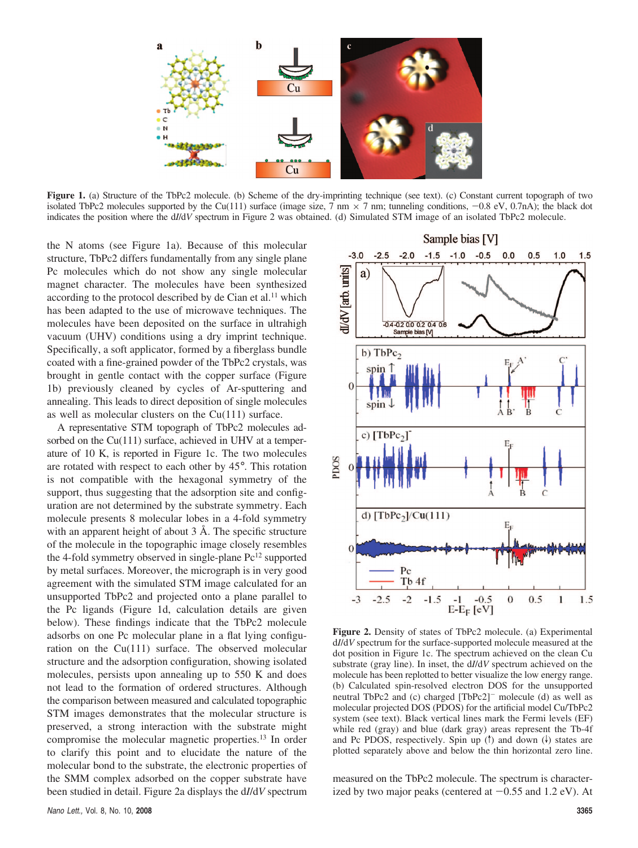

**Figure 1.** (a) Structure of the TbPc2 molecule. (b) Scheme of the dry-imprinting technique (see text). (c) Constant current topograph of two isolated TbPc2 molecules supported by the Cu(111) surface (image size,  $7 \text{ nm} \times 7 \text{ nm}$ ; tunneling conditions,  $-0.8 \text{ eV}$ ,  $0.7 \text{ nA}$ ); the black dot indicates the position where the d*I*/d*V* spectrum in Figure 2 was obtained. (d) Simulated STM image of an isolated TbPc2 molecule.

the N atoms (see Figure 1a). Because of this molecular structure, TbPc2 differs fundamentally from any single plane Pc molecules which do not show any single molecular magnet character. The molecules have been synthesized according to the protocol described by de Cian et al.<sup>11</sup> which has been adapted to the use of microwave techniques. The molecules have been deposited on the surface in ultrahigh vacuum (UHV) conditions using a dry imprint technique. Specifically, a soft applicator, formed by a fiberglass bundle coated with a fine-grained powder of the TbPc2 crystals, was brought in gentle contact with the copper surface (Figure 1b) previously cleaned by cycles of Ar-sputtering and annealing. This leads to direct deposition of single molecules as well as molecular clusters on the Cu(111) surface.

A representative STM topograph of TbPc2 molecules adsorbed on the Cu(111) surface, achieved in UHV at a temperature of 10 K, is reported in Figure 1c. The two molecules are rotated with respect to each other by 45°. This rotation is not compatible with the hexagonal symmetry of the support, thus suggesting that the adsorption site and configuration are not determined by the substrate symmetry. Each molecule presents 8 molecular lobes in a 4-fold symmetry with an apparent height of about 3 Å. The specific structure of the molecule in the topographic image closely resembles the 4-fold symmetry observed in single-plane  $Pc^{12}$  supported by metal surfaces. Moreover, the micrograph is in very good agreement with the simulated STM image calculated for an unsupported TbPc2 and projected onto a plane parallel to the Pc ligands (Figure 1d, calculation details are given below). These findings indicate that the TbPc2 molecule adsorbs on one Pc molecular plane in a flat lying configuration on the Cu(111) surface. The observed molecular structure and the adsorption configuration, showing isolated molecules, persists upon annealing up to 550 K and does not lead to the formation of ordered structures. Although the comparison between measured and calculated topographic STM images demonstrates that the molecular structure is preserved, a strong interaction with the substrate might compromise the molecular magnetic properties.13 In order to clarify this point and to elucidate the nature of the molecular bond to the substrate, the electronic properties of the SMM complex adsorbed on the copper substrate have been studied in detail. Figure 2a displays the d*I*/d*V* spectrum



**Figure 2.** Density of states of TbPc2 molecule. (a) Experimental d*I*/d*V* spectrum for the surface-supported molecule measured at the dot position in Figure 1c. The spectrum achieved on the clean Cu substrate (gray line). In inset, the d*I*/d*V* spectrum achieved on the molecule has been replotted to better visualize the low energy range. (b) Calculated spin-resolved electron DOS for the unsupported neutral TbPc2 and (c) charged [TbPc2]<sup>-</sup> molecule (d) as well as molecular projected DOS (PDOS) for the artificial model Cu/TbPc2 system (see text). Black vertical lines mark the Fermi levels (EF) while red (gray) and blue (dark gray) areas represent the Tb-4f and Pc PDOS, respectively. Spin up  $(\dagger)$  and down  $(\dagger)$  states are plotted separately above and below the thin horizontal zero line.

measured on the TbPc2 molecule. The spectrum is characterized by two major peaks (centered at  $-0.55$  and  $1.2 \text{ eV}$ ). At 3365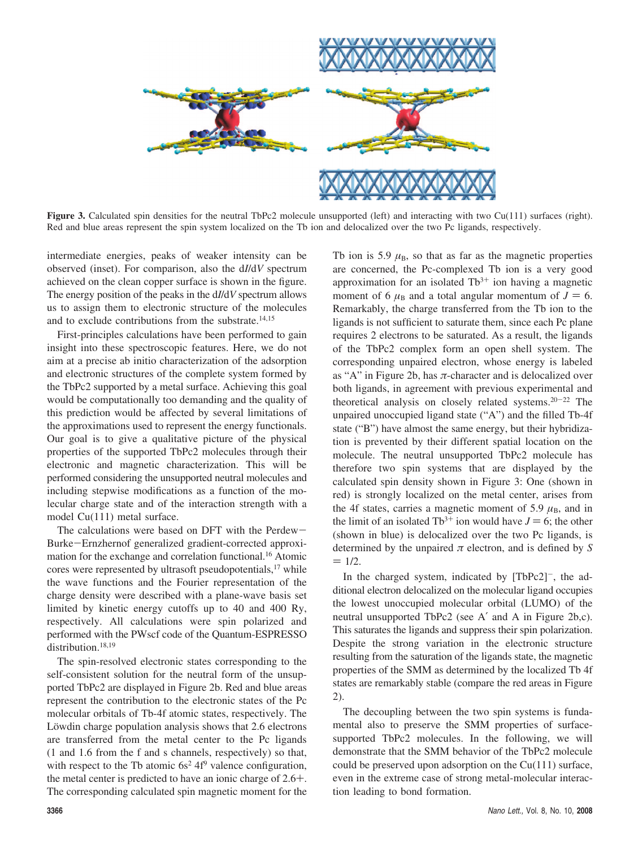

**Figure 3.** Calculated spin densities for the neutral TbPc2 molecule unsupported (left) and interacting with two Cu(111) surfaces (right). Red and blue areas represent the spin system localized on the Tb ion and delocalized over the two Pc ligands, respectively.

intermediate energies, peaks of weaker intensity can be observed (inset). For comparison, also the d*I*/d*V* spectrum achieved on the clean copper surface is shown in the figure. The energy position of the peaks in the d*I*/d*V* spectrum allows us to assign them to electronic structure of the molecules and to exclude contributions from the substrate.<sup>14,15</sup>

First-principles calculations have been performed to gain insight into these spectroscopic features. Here, we do not aim at a precise ab initio characterization of the adsorption and electronic structures of the complete system formed by the TbPc2 supported by a metal surface. Achieving this goal would be computationally too demanding and the quality of this prediction would be affected by several limitations of the approximations used to represent the energy functionals. Our goal is to give a qualitative picture of the physical properties of the supported TbPc2 molecules through their electronic and magnetic characterization. This will be performed considering the unsupported neutral molecules and including stepwise modifications as a function of the molecular charge state and of the interaction strength with a model Cu(111) metal surface.

The calculations were based on DFT with the Perdew-Burke-Ernzhernof generalized gradient-corrected approximation for the exchange and correlation functional.16 Atomic cores were represented by ultrasoft pseudopotentials,<sup>17</sup> while the wave functions and the Fourier representation of the charge density were described with a plane-wave basis set limited by kinetic energy cutoffs up to 40 and 400 Ry, respectively. All calculations were spin polarized and performed with the PWscf code of the Quantum-ESPRESSO distribution.<sup>18,19</sup>

The spin-resolved electronic states corresponding to the self-consistent solution for the neutral form of the unsupported TbPc2 are displayed in Figure 2b. Red and blue areas represent the contribution to the electronic states of the Pc molecular orbitals of Tb-4f atomic states, respectively. The Löwdin charge population analysis shows that 2.6 electrons are transferred from the metal center to the Pc ligands (1 and 1.6 from the f and s channels, respectively) so that, with respect to the Tb atomic  $6s^2 4f^9$  valence configuration, the metal center is predicted to have an ionic charge of 2.6+. The corresponding calculated spin magnetic moment for the Tb ion is 5.9  $\mu_B$ , so that as far as the magnetic properties are concerned, the Pc-complexed Tb ion is a very good approximation for an isolated  $Tb^{3+}$  ion having a magnetic moment of 6  $\mu_B$  and a total angular momentum of  $J = 6$ . Remarkably, the charge transferred from the Tb ion to the ligands is not sufficient to saturate them, since each Pc plane requires 2 electrons to be saturated. As a result, the ligands of the TbPc2 complex form an open shell system. The corresponding unpaired electron, whose energy is labeled as "A" in Figure 2b, has *π*-character and is delocalized over both ligands, in agreement with previous experimental and theoretical analysis on closely related systems. $20-22$  The unpaired unoccupied ligand state ("A") and the filled Tb-4f state ("B") have almost the same energy, but their hybridization is prevented by their different spatial location on the molecule. The neutral unsupported TbPc2 molecule has therefore two spin systems that are displayed by the calculated spin density shown in Figure 3: One (shown in red) is strongly localized on the metal center, arises from the 4f states, carries a magnetic moment of 5.9  $\mu$ <sub>B</sub>, and in the limit of an isolated Tb<sup>3+</sup> ion would have  $J = 6$ ; the other (shown in blue) is delocalized over the two Pc ligands, is determined by the unpaired *π* electron, and is defined by *S*  $= 1/2.$ 

In the charged system, indicated by [TbPc2]<sup>-</sup>, the additional electron delocalized on the molecular ligand occupies the lowest unoccupied molecular orbital (LUMO) of the neutral unsupported TbPc2 (see A′ and A in Figure 2b,c). This saturates the ligands and suppress their spin polarization. Despite the strong variation in the electronic structure resulting from the saturation of the ligands state, the magnetic properties of the SMM as determined by the localized Tb 4f states are remarkably stable (compare the red areas in Figure 2).

The decoupling between the two spin systems is fundamental also to preserve the SMM properties of surfacesupported TbPc2 molecules. In the following, we will demonstrate that the SMM behavior of the TbPc2 molecule could be preserved upon adsorption on the  $Cu(111)$  surface, even in the extreme case of strong metal-molecular interaction leading to bond formation.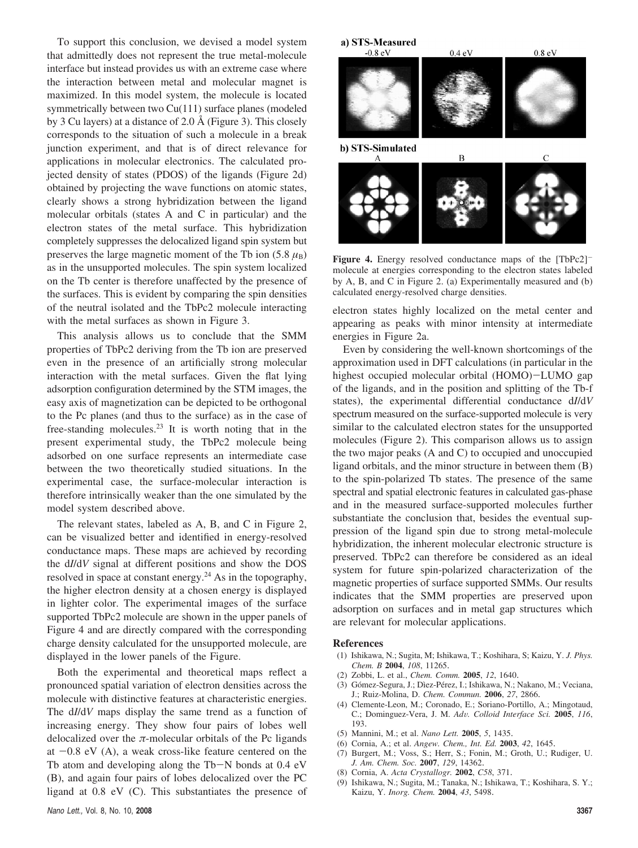To support this conclusion, we devised a model system that admittedly does not represent the true metal-molecule interface but instead provides us with an extreme case where the interaction between metal and molecular magnet is maximized. In this model system, the molecule is located symmetrically between two Cu(111) surface planes (modeled by 3 Cu layers) at a distance of 2.0 Å (Figure 3). This closely corresponds to the situation of such a molecule in a break junction experiment, and that is of direct relevance for applications in molecular electronics. The calculated projected density of states (PDOS) of the ligands (Figure 2d) obtained by projecting the wave functions on atomic states, clearly shows a strong hybridization between the ligand molecular orbitals (states A and C in particular) and the electron states of the metal surface. This hybridization completely suppresses the delocalized ligand spin system but preserves the large magnetic moment of the Tb ion  $(5.8 \mu_B)$ as in the unsupported molecules. The spin system localized on the Tb center is therefore unaffected by the presence of the surfaces. This is evident by comparing the spin densities of the neutral isolated and the TbPc2 molecule interacting with the metal surfaces as shown in Figure 3.

This analysis allows us to conclude that the SMM properties of TbPc2 deriving from the Tb ion are preserved even in the presence of an artificially strong molecular interaction with the metal surfaces. Given the flat lying adsorption configuration determined by the STM images, the easy axis of magnetization can be depicted to be orthogonal to the Pc planes (and thus to the surface) as in the case of free-standing molecules.23 It is worth noting that in the present experimental study, the TbPc2 molecule being adsorbed on one surface represents an intermediate case between the two theoretically studied situations. In the experimental case, the surface-molecular interaction is therefore intrinsically weaker than the one simulated by the model system described above.

The relevant states, labeled as A, B, and C in Figure 2, can be visualized better and identified in energy-resolved conductance maps. These maps are achieved by recording the d*I*/d*V* signal at different positions and show the DOS resolved in space at constant energy.24 As in the topography, the higher electron density at a chosen energy is displayed in lighter color. The experimental images of the surface supported TbPc2 molecule are shown in the upper panels of Figure 4 and are directly compared with the corresponding charge density calculated for the unsupported molecule, are displayed in the lower panels of the Figure.

Both the experimental and theoretical maps reflect a pronounced spatial variation of electron densities across the molecule with distinctive features at characteristic energies. The d*I*/d*V* maps display the same trend as a function of increasing energy. They show four pairs of lobes well delocalized over the  $\pi$ -molecular orbitals of the Pc ligands at  $-0.8$  eV (A), a weak cross-like feature centered on the Tb atom and developing along the Tb-N bonds at 0.4 eV (B), and again four pairs of lobes delocalized over the PC ligand at 0.8 eV (C). This substantiates the presence of





Figure 4. Energy resolved conductance maps of the [TbPc2]<sup>-</sup> molecule at energies corresponding to the electron states labeled by A, B, and C in Figure 2. (a) Experimentally measured and (b) calculated energy-resolved charge densities.

electron states highly localized on the metal center and appearing as peaks with minor intensity at intermediate energies in Figure 2a.

Even by considering the well-known shortcomings of the approximation used in DFT calculations (in particular in the highest occupied molecular orbital (HOMO)-LUMO gap of the ligands, and in the position and splitting of the Tb-f states), the experimental differential conductance d*I*/d*V* spectrum measured on the surface-supported molecule is very similar to the calculated electron states for the unsupported molecules (Figure 2). This comparison allows us to assign the two major peaks (A and C) to occupied and unoccupied ligand orbitals, and the minor structure in between them (B) to the spin-polarized Tb states. The presence of the same spectral and spatial electronic features in calculated gas-phase and in the measured surface-supported molecules further substantiate the conclusion that, besides the eventual suppression of the ligand spin due to strong metal-molecule hybridization, the inherent molecular electronic structure is preserved. TbPc2 can therefore be considered as an ideal system for future spin-polarized characterization of the magnetic properties of surface supported SMMs. Our results indicates that the SMM properties are preserved upon adsorption on surfaces and in metal gap structures which are relevant for molecular applications.

## **References**

- (1) Ishikawa, N.; Sugita, M; Ishikawa, T.; Koshihara, S; Kaizu, Y. *J. Phys. Chem. B* **2004**, *108*, 11265.
- (2) Zobbi, L. et al., *Chem. Comm.* **2005**, *12*, 1640.
- (3) Gómez-Segura, J.; Dìez-Pérez, I.; Ishikawa, N.; Nakano, M.; Veciana, J.; Ruiz-Molina, D. *Chem. Commun.* **2006**, *27*, 2866.
- (4) Clemente-Leon, M.; Coronado, E.; Soriano-Portillo, A.; Mingotaud, C.; Dominguez-Vera, J. M. *Ad*V*. Colloid Interface Sci.* **<sup>2005</sup>**, *<sup>116</sup>*, 193.
- (5) Mannini, M.; et al. *Nano Lett.* **2005**, *5*, 1435.
- (6) Cornia, A.; et al. *Angew. Chem., Int. Ed.* **2003**, *42*, 1645.
- (7) Burgert, M.; Voss, S.; Herr, S.; Fonin, M.; Groth, U.; Rudiger, U. *J. Am. Chem. Soc.* **2007**, *129*, 14362.
- (8) Cornia, A. *Acta Crystallogr.* **2002**, *C58*, 371.
- (9) Ishikawa, N.; Sugita, M.; Tanaka, N.; Ishikawa, T.; Koshihara, S. Y.; Kaizu, Y. *Inorg. Chem.* **2004**, *43*, 5498.